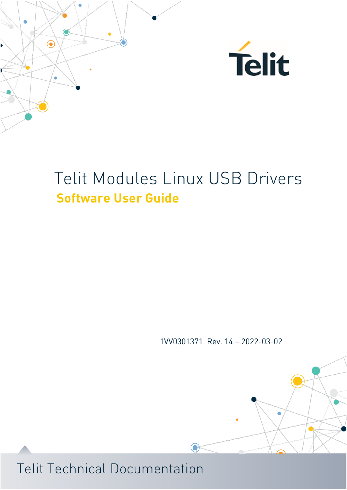



1VV0301371 Rev. 14 – 2022-03-02

 $\bigodot$ 

 $\overline{\phantom{a}}$ 

 $\bullet$ 

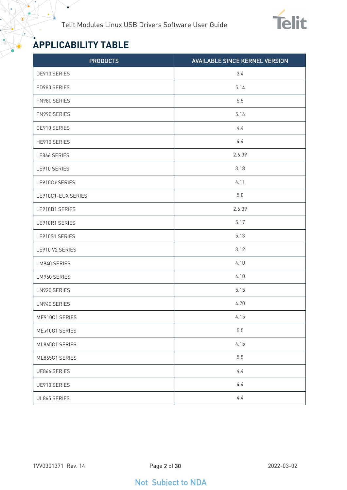

# <span id="page-1-0"></span>**APPLICABILITY TABLE**

¥

| <b>PRODUCTS</b>    | <b>AVAILABLE SINCE KERNEL VERSION</b> |
|--------------------|---------------------------------------|
| DE910 SERIES       | 3.4                                   |
| FD980 SERIES       | 5.14                                  |
| FN980 SERIES       | 5.5                                   |
| FN990 SERIES       | 5.16                                  |
| GE910 SERIES       | 4.4                                   |
| HE910 SERIES       | 4.4                                   |
| LE866 SERIES       | 2.6.39                                |
| LE910 SERIES       | 3.18                                  |
| LE910Cx SERIES     | 4.11                                  |
| LE910C1-EUX SERIES | 5.8                                   |
| LE910D1 SERIES     | 2.6.39                                |
| LE910R1 SERIES     | 5.17                                  |
| LE910S1 SERIES     | 5.13                                  |
| LE910 V2 SERIES    | 3.12                                  |
| LM940 SERIES       | 4.10                                  |
| LM960 SERIES       | 4.10                                  |
| LN920 SERIES       | 5.15                                  |
| LN940 SERIES       | 4.20                                  |
| ME910C1 SERIES     | 4.15                                  |
| MEx10G1 SERIES     | 5.5                                   |
| ML865C1 SERIES     | 4.15                                  |
| ML865G1 SERIES     | $5.5\,$                               |
| UE866 SERIES       | 4.4                                   |
| UE910 SERIES       | 4.4                                   |
| UL865 SERIES       | 4.4                                   |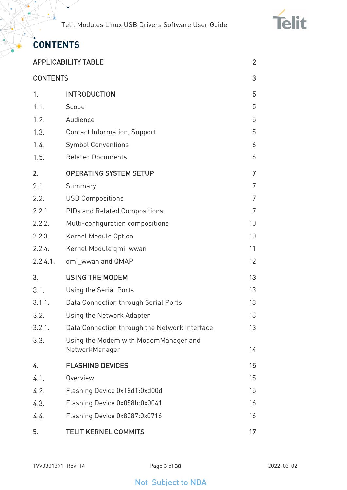

# <span id="page-2-0"></span>**CONTENTS**

 $\bullet$ 

|                 | <b>APPLICABILITY TABLE</b>                              | $\overline{2}$ |
|-----------------|---------------------------------------------------------|----------------|
| <b>CONTENTS</b> |                                                         | 3              |
| 1.              | <b>INTRODUCTION</b>                                     | 5              |
| 1.1.            | Scope                                                   | 5              |
| 1.2.            | Audience                                                | 5              |
| 1.3.            | <b>Contact Information, Support</b>                     | 5              |
| 1.4.            | <b>Symbol Conventions</b>                               | 6              |
| 1.5.            | <b>Related Documents</b>                                | 6              |
| 2.              | <b>OPERATING SYSTEM SETUP</b>                           | 7              |
| 2.1.            | Summary                                                 | 7              |
| 2.2.            | <b>USB Compositions</b>                                 | 7              |
| 2.2.1.          | <b>PIDs and Related Compositions</b>                    | 7              |
| 2.2.2.          | Multi-configuration compositions                        | 10             |
| 2.2.3.          | Kernel Module Option                                    | 10             |
| 2.2.4.          | Kernel Module qmi_wwan                                  | 11             |
| 2.2.4.1.        | qmi_wwan and QMAP                                       | 12             |
| 3.              | <b>USING THE MODEM</b>                                  | 13             |
| 3.1.            | Using the Serial Ports                                  | 13             |
| 3.1.1.          | Data Connection through Serial Ports                    | 13             |
| 3.2.            | Using the Network Adapter                               | 13             |
| 3.2.1.          | Data Connection through the Network Interface           | 13             |
| 3.3.            | Using the Modem with ModemManager and<br>NetworkManager | 14             |
| 4.              | <b>FLASHING DEVICES</b>                                 | 15             |
| 4.1.            | Overview                                                | 15             |
| 4.2.            | Flashing Device 0x18d1:0xd00d                           | 15             |
| 4.3.            | Flashing Device 0x058b:0x0041                           | 16             |
| 4.4.            | Flashing Device 0x8087:0x0716                           | 16             |
| 5.              | <b>TELIT KERNEL COMMITS</b>                             | 17             |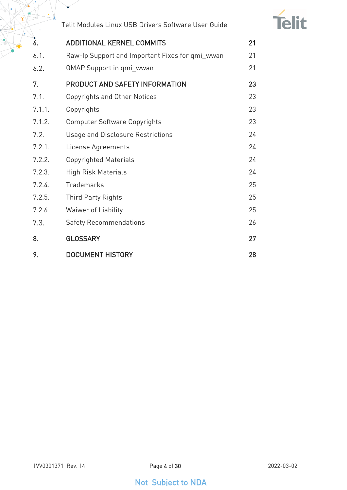

| 6.     | <b>ADDITIONAL KERNEL COMMITS</b>                | 21 |
|--------|-------------------------------------------------|----|
| 6.1.   | Raw-Ip Support and Important Fixes for qmi_wwan | 21 |
| 6.2.   | <b>QMAP Support in qmi_wwan</b>                 | 21 |
| 7.     | PRODUCT AND SAFETY INFORMATION                  | 23 |
| 7.1.   | <b>Copyrights and Other Notices</b>             | 23 |
| 7.1.1. | Copyrights                                      | 23 |
| 7.1.2. | <b>Computer Software Copyrights</b>             | 23 |
| 7.2.   | <b>Usage and Disclosure Restrictions</b>        | 24 |
| 7.2.1. | License Agreements                              | 24 |
| 7.2.2. | <b>Copyrighted Materials</b>                    | 24 |
| 7.2.3. | <b>High Risk Materials</b>                      | 24 |
| 7.2.4. | Trademarks                                      | 25 |
| 7.2.5. | <b>Third Party Rights</b>                       | 25 |
| 7.2.6. | Waiwer of Liability                             | 25 |
| 7.3.   | <b>Safety Recommendations</b>                   | 26 |
| 8.     | <b>GLOSSARY</b>                                 | 27 |
| 9.     | <b>DOCUMENT HISTORY</b>                         | 28 |

 $\bullet$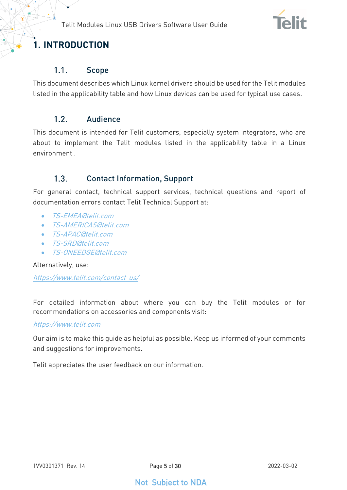

# <span id="page-4-1"></span><span id="page-4-0"></span>**1. INTRODUCTION**

#### $1.1.$ Scope

<span id="page-4-2"></span>This document describes which Linux kernel drivers should be used for the Telit modules listed in the applicability table and how Linux devices can be used for typical use cases.

#### $1.2<sub>1</sub>$ Audience

This document is intended for Telit customers, especially system integrators, who are about to implement the Telit modules listed in the applicability table in a Linux environment .

#### <span id="page-4-3"></span> $1.3<sub>1</sub>$ Contact Information, Support

For general contact, technical support services, technical questions and report of documentation errors contact Telit Technical Support at:

- [TS-EMEA@telit.com](mailto:TS-EMEA@telit.com)
- [TS-AMERICAS@telit.com](mailto:TS-AMERICAS@telit.com)
- T.S-APAC@telit.com
- [TS-SRD@telit.com](mailto:TS-SRD@telit.com)
- TS-ONEEDGE@telit.com

Alternatively, use:

<https://www.telit.com/contact-us/>

For detailed information about where you can buy the Telit modules or for recommendations on accessories and components visit:

#### [https://www.telit.com](https://www.telit.com/)

Our aim is to make this guide as helpful as possible. Keep us informed of your comments and suggestions for improvements.

Telit appreciates the user feedback on our information.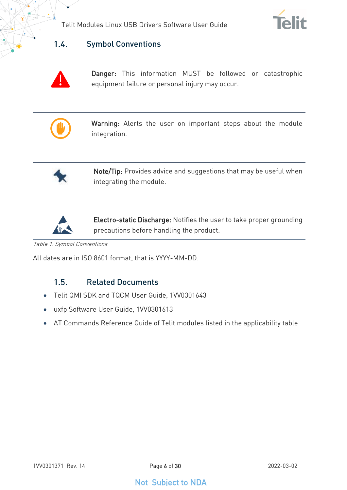



#### <span id="page-5-0"></span> $1.4.$ Symbol Conventions

Danger: This information MUST be followed or catastrophic equipment failure or personal injury may occur.



Warning: Alerts the user on important steps about the module integration.



Note/Tip: Provides advice and suggestions that may be useful when integrating the module.



Electro-static Discharge: Notifies the user to take proper grounding precautions before handling the product.

Table 1: Symbol Conventions

<span id="page-5-1"></span>All dates are in ISO 8601 format, that is YYYY-MM-DD.

#### $1.5.$ Related Documents

- Telit QMI SDK and TQCM User Guide, 1VV0301643
- uxfp Software User Guide, 1VV0301613
- AT Commands Reference Guide of Telit modules listed in the applicability table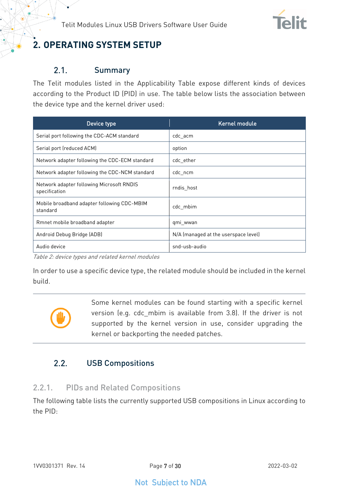

# <span id="page-6-0"></span>**2. OPERATING SYSTEM SETUP**

#### <span id="page-6-1"></span> $2.1.$ Summary

The Telit modules listed in the Applicability Table expose different kinds of devices according to the Product ID (PID) in use. The table below lists the association between the device type and the kernel driver used:

| Device type                                                | Kernel module                        |
|------------------------------------------------------------|--------------------------------------|
| Serial port following the CDC-ACM standard                 | cdc acm                              |
| Serial port (reduced ACM)                                  | option                               |
| Network adapter following the CDC-ECM standard             | cdc ether                            |
| Network adapter following the CDC-NCM standard             | cdc_ncm                              |
| Network adapter following Microsoft RNDIS<br>specification | rndis host                           |
| Mobile broadband adapter following CDC-MBIM<br>standard    | cdc mbim                             |
| Rmnet mobile broadband adapter                             | qmi wwan                             |
| Android Debug Bridge (ADB)                                 | N/A (managed at the userspace level) |
| Audio device                                               | snd-usb-audio                        |

Table 2: device types and related kernel modules

In order to use a specific device type, the related module should be included in the kernel build.



Some kernel modules can be found starting with a specific kernel version (e.g. cdc\_mbim is available from 3.8). If the driver is not supported by the kernel version in use, consider upgrading the kernel or backporting the needed patches.

#### <span id="page-6-2"></span> $2.2.$ USB Compositions

### <span id="page-6-3"></span>2.2.1. PIDs and Related Compositions

The following table lists the currently supported USB compositions in Linux according to the PID: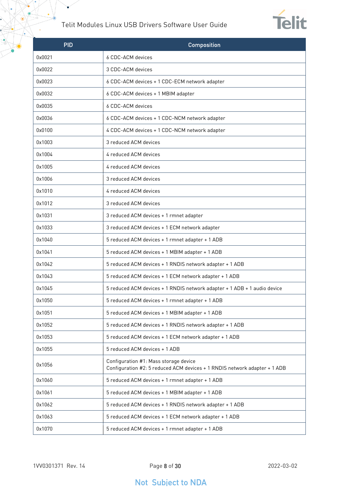$\bullet$ 



| <b>PID</b> | <b>Composition</b>                                                                                                 |  |  |
|------------|--------------------------------------------------------------------------------------------------------------------|--|--|
| 0x0021     | 6 CDC-ACM devices                                                                                                  |  |  |
| 0x0022     | 3 CDC-ACM devices                                                                                                  |  |  |
| 0x0023     | 6 CDC-ACM devices + 1 CDC-ECM network adapter                                                                      |  |  |
| 0x0032     | 6 CDC-ACM devices + 1 MBIM adapter                                                                                 |  |  |
| 0x0035     | 6 CDC-ACM devices                                                                                                  |  |  |
| 0x0036     | 6 CDC-ACM devices + 1 CDC-NCM network adapter                                                                      |  |  |
| 0x0100     | 4 CDC-ACM devices + 1 CDC-NCM network adapter                                                                      |  |  |
| 0x1003     | 3 reduced ACM devices                                                                                              |  |  |
| 0x1004     | 4 reduced ACM devices                                                                                              |  |  |
| 0x1005     | 4 reduced ACM devices                                                                                              |  |  |
| 0x1006     | 3 reduced ACM devices                                                                                              |  |  |
| 0x1010     | 4 reduced ACM devices                                                                                              |  |  |
| 0x1012     | 3 reduced ACM devices                                                                                              |  |  |
| 0x1031     | 3 reduced ACM devices + 1 rmnet adapter                                                                            |  |  |
| 0x1033     | 3 reduced ACM devices + 1 ECM network adapter                                                                      |  |  |
| 0x1040     | 5 reduced ACM devices + 1 rmnet adapter + 1 ADB                                                                    |  |  |
| 0x1041     | 5 reduced ACM devices + 1 MBIM adapter + 1 ADB                                                                     |  |  |
| 0x1042     | 5 reduced ACM devices + 1 RNDIS network adapter + 1 ADB                                                            |  |  |
| 0x1043     | 5 reduced ACM devices + 1 ECM network adapter + 1 ADB                                                              |  |  |
| 0x1045     | 5 reduced ACM devices + 1 RNDIS network adapter + 1 ADB + 1 audio device                                           |  |  |
| 0x1050     | 5 reduced ACM devices + 1 rmnet adapter + 1 ADB                                                                    |  |  |
| 0x1051     | 5 reduced ACM devices + 1 MBIM adapter + 1 ADB                                                                     |  |  |
| 0x1052     | 5 reduced ACM devices + 1 RNDIS network adapter + 1 ADB                                                            |  |  |
| 0x1053     | 5 reduced ACM devices + 1 ECM network adapter + 1 ADB                                                              |  |  |
| 0x1055     | 5 reduced ACM devices + 1 ADB                                                                                      |  |  |
| 0x1056     | Configuration #1: Mass storage device<br>Configuration #2: 5 reduced ACM devices + 1 RNDIS network adapter + 1 ADB |  |  |
| 0x1060     | 5 reduced ACM devices + 1 rmnet adapter + 1 ADB                                                                    |  |  |
| 0x1061     | 5 reduced ACM devices + 1 MBIM adapter + 1 ADB                                                                     |  |  |
| 0x1062     | 5 reduced ACM devices + 1 RNDIS network adapter + 1 ADB                                                            |  |  |
| 0x1063     | 5 reduced ACM devices + 1 ECM network adapter + 1 ADB                                                              |  |  |
| 0x1070     | 5 reduced ACM devices + 1 rmnet adapter + 1 ADB                                                                    |  |  |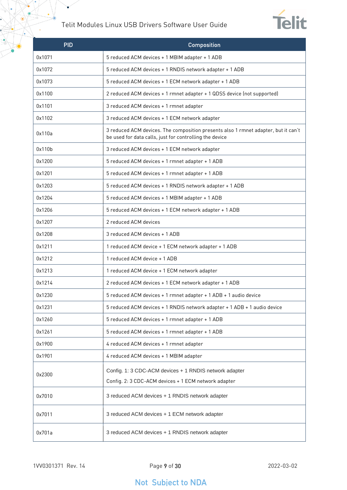$\bullet$ 



| <b>PID</b> | <b>Composition</b>                                                                                                                            |  |  |
|------------|-----------------------------------------------------------------------------------------------------------------------------------------------|--|--|
| 0x1071     | 5 reduced ACM devices + 1 MBIM adapter + 1 ADB                                                                                                |  |  |
| 0x1072     | 5 reduced ACM devices + 1 RNDIS network adapter + 1 ADB                                                                                       |  |  |
| 0x1073     | 5 reduced ACM devices + 1 ECM network adapter + 1 ADB                                                                                         |  |  |
| 0x1100     | 2 reduced ACM devices + 1 rmnet adapter + 1 QDSS device (not supported)                                                                       |  |  |
| 0x1101     | 3 reduced ACM devices + 1 rmnet adapter                                                                                                       |  |  |
| 0x1102     | 3 reduced ACM devices + 1 ECM network adapter                                                                                                 |  |  |
| 0x110a     | 3 reduced ACM devices. The composition presents also 1 rmnet adapter, but it can't<br>be used for data calls, just for controlling the device |  |  |
| 0x110b     | 3 reduced ACM devices + 1 ECM network adapter                                                                                                 |  |  |
| 0x1200     | 5 reduced ACM devices + 1 rmnet adapter + 1 ADB                                                                                               |  |  |
| 0x1201     | 5 reduced ACM devices + 1 rmnet adapter + 1 ADB                                                                                               |  |  |
| 0x1203     | 5 reduced ACM devices + 1 RNDIS network adapter + 1 ADB                                                                                       |  |  |
| 0x1204     | 5 reduced ACM devices + 1 MBIM adapter + 1 ADB                                                                                                |  |  |
| 0x1206     | 5 reduced ACM devices + 1 ECM network adapter + 1 ADB                                                                                         |  |  |
| 0x1207     | 2 reduced ACM devices                                                                                                                         |  |  |
| 0x1208     | 3 reduced ACM devices + 1 ADB                                                                                                                 |  |  |
| 0x1211     | 1 reduced ACM device + 1 ECM network adapter + 1 ADB                                                                                          |  |  |
| 0x1212     | 1 reduced ACM device + 1 ADB                                                                                                                  |  |  |
| 0x1213     | 1 reduced ACM device + 1 ECM network adapter                                                                                                  |  |  |
| 0x1214     | 2 reduced ACM devices + 1 ECM network adapter + 1 ADB                                                                                         |  |  |
| 0x1230     | 5 reduced ACM devices + 1 rmnet adapter + 1 ADB + 1 audio device                                                                              |  |  |
| 0x1231     | 5 reduced ACM devices + 1 RNDIS network adapter + 1 ADB + 1 audio device                                                                      |  |  |
| 0x1260     | 5 reduced ACM devices + 1 rmnet adapter + 1 ADB                                                                                               |  |  |
| 0x1261     | 5 reduced ACM devices + 1 rmnet adapter + 1 ADB                                                                                               |  |  |
| 0x1900     | 4 reduced ACM devices + 1 rmnet adapter                                                                                                       |  |  |
| 0x1901     | 4 reduced ACM devices + 1 MBIM adapter                                                                                                        |  |  |
| 0x2300     | Config. 1: 3 CDC-ACM devices + 1 RNDIS network adapter                                                                                        |  |  |
|            | Config. 2: 3 CDC-ACM devices + 1 ECM network adapter                                                                                          |  |  |
| 0x7010     | 3 reduced ACM devices + 1 RNDIS network adapter                                                                                               |  |  |
| 0x7011     | 3 reduced ACM devices + 1 ECM network adapter                                                                                                 |  |  |
| 0x701a     | 3 reduced ACM devices + 1 RNDIS network adapter                                                                                               |  |  |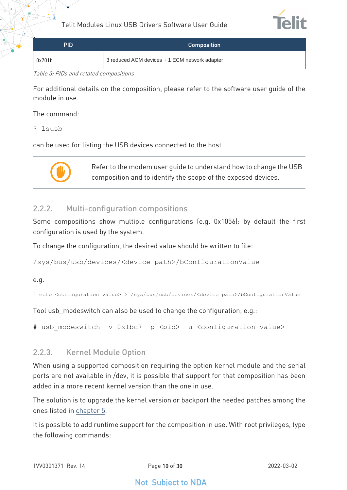

| PID    | <b>Composition</b>                            |
|--------|-----------------------------------------------|
| 0x701b | 3 reduced ACM devices + 1 ECM network adapter |

Table 3: PIDs and related compositions

For additional details on the composition, please refer to the software user guide of the module in use.

The command:

\$ lsusb

can be used for listing the USB devices connected to the host.



Refer to the modem user guide to understand how to change the USB composition and to identify the scope of the exposed devices.

#### <span id="page-9-0"></span>2.2.2. Multi-configuration compositions

Some compositions show multiple configurations (e.g. 0x1056): by default the first configuration is used by the system.

To change the configuration, the desired value should be written to file:

/sys/bus/usb/devices/<device path>/bConfigurationValue

#### e.g.

# echo <configuration value> > /sys/bus/usb/devices/<device path>/bConfigurationValue

Tool usb modeswitch can also be used to change the configuration, e.g.:

<span id="page-9-1"></span># usb modeswitch -v 0x1bc7 -p <pid> -u <configuration value>

#### 2.2.3. Kernel Module Option

When using a supported composition requiring the option kernel module and the serial ports are not available in /dev, it is possible that support for that composition has been added in a more recent kernel version than the one in use.

The solution is to upgrade the kernel version or backport the needed patches among the ones listed in [chapter 5.](#page-16-0)

It is possible to add runtime support for the composition in use. With root privileges, type the following commands: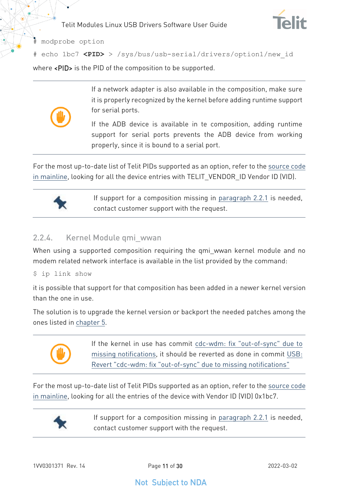

# modprobe option

# echo 1bc7 **<PID>** > /sys/bus/usb-serial/drivers/option1/new\_id

where <PID> is the PID of the composition to be supported.



If a network adapter is also available in the composition, make sure it is properly recognized by the kernel before adding runtime support for serial ports.

If the ADB device is available in te composition, adding runtime support for serial ports prevents the ADB device from working properly, since it is bound to a serial port.

For the most up-to-date list of Telit PIDs supported as an option, refer to the [source code](https://git.kernel.org/pub/scm/linux/kernel/git/torvalds/linux.git/tree/drivers/usb/serial/option.c)  [in mainline,](https://git.kernel.org/pub/scm/linux/kernel/git/torvalds/linux.git/tree/drivers/usb/serial/option.c) looking for all the device entries with TELIT\_VENDOR\_ID Vendor ID (VID).



If support for a composition missing in [paragraph 2.2.1](#page-6-3) is needed, contact customer support with the request.

### <span id="page-10-0"></span>2.2.4. Kernel Module qmi\_wwan

When using a supported composition requiring the qmi wwan kernel module and no modem related network interface is available in the list provided by the command:

\$ ip link show

it is possible that support for that composition has been added in a newer kernel version than the one in use.

The solution is to upgrade the kernel version or backport the needed patches among the ones listed in [chapter 5.](#page-16-0)



If the kernel in use has commit cdc-wdm: fix "out-of-sync" due to [missing notifications,](https://git.kernel.org/pub/scm/linux/kernel/git/torvalds/linux.git/commit/drivers/usb/class/cdc-wdm.c?id=833415a3e781a26fe480a34d45086bdb4fe1e4c0) it should be reverted as done in commit [USB:](https://git.kernel.org/pub/scm/linux/kernel/git/torvalds/linux.git/commit/drivers/usb/class/cdc-wdm.c?id=19445816996d1a89682c37685fe95959631d9f32)  [Revert "cdc-wdm: fix "out-of-sync" due to missing notifications"](https://git.kernel.org/pub/scm/linux/kernel/git/torvalds/linux.git/commit/drivers/usb/class/cdc-wdm.c?id=19445816996d1a89682c37685fe95959631d9f32)

For the most up-to-date list of Telit PIDs supported as an option, refer to the [source code](https://git.kernel.org/pub/scm/linux/kernel/git/torvalds/linux.git/tree/drivers/net/usb/qmi_wwan.c)  [in mainline,](https://git.kernel.org/pub/scm/linux/kernel/git/torvalds/linux.git/tree/drivers/net/usb/qmi_wwan.c) looking for all the entries of the device with Vendor ID (VID) 0x1bc7.



If support for a composition missing in [paragraph 2.2.1](#page-6-3) is needed, contact customer support with the request.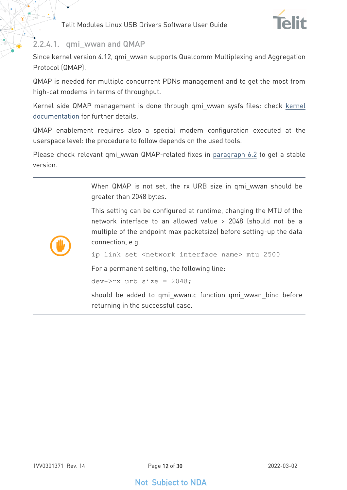

#### <span id="page-11-0"></span>2.2.4.1. qmi\_wwan and QMAP

Since kernel version 4.12, qmi\_wwan supports Qualcomm Multiplexing and Aggregation Protocol (QMAP).

QMAP is needed for multiple concurrent PDNs management and to get the most from high-cat modems in terms of throughput.

Kernel side QMAP management is done through qmi\_wwan sysfs files: check [kernel](https://git.kernel.org/pub/scm/linux/kernel/git/torvalds/linux.git/tree/Documentation/ABI/testing/sysfs-class-net-qmi)  [documentation](https://git.kernel.org/pub/scm/linux/kernel/git/torvalds/linux.git/tree/Documentation/ABI/testing/sysfs-class-net-qmi) for further details.

QMAP enablement requires also a special modem configuration executed at the userspace level: the procedure to follow depends on the used tools.

Please check relevant qmi wwan QMAP-related fixes in [paragraph 6.2](#page-20-2) to get a stable version.

> When QMAP is not set, the rx URB size in qmi\_wwan should be greater than 2048 bytes.

> This setting can be configured at runtime, changing the MTU of the network interface to an allowed value > 2048 (should not be a multiple of the endpoint max packetsize) before setting-up the data connection, e.g.



ip link set <network interface name> mtu 2500

For a permanent setting, the following line:

dev- $>rx$  urb size = 2048;

should be added to qmi\_wwan.c function qmi\_wwan\_bind before returning in the successful case.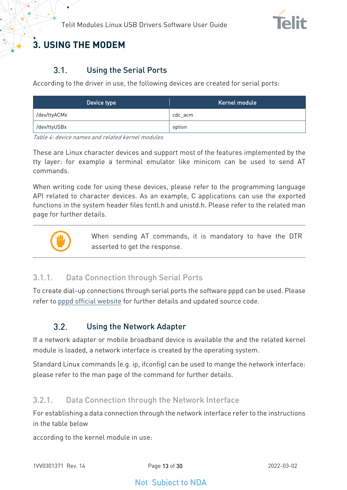

# <span id="page-12-1"></span><span id="page-12-0"></span>**3. USING THE MODEM**

#### $3.1$ Using the Serial Ports

According to the driver in use, the following devices are created for serial ports:

| Device type  | Kernel module |
|--------------|---------------|
| /dev/ttyACMx | cdc acm       |
| /dev/ttyUSBx | option        |

Table 4: device names and related kernel modules

These are Linux character devices and support most of the features implemented by the tty layer: for example a terminal emulator like minicom can be used to send AT commands.

When writing code for using these devices, please refer to the programming language API related to character devices. As an example, C applications can use the exported functions in the system header files fcntl.h and unistd.h. Please refer to the related man page for further details.



When sending AT commands, it is mandatory to have the DTR asserted to get the response.

### <span id="page-12-2"></span>3.1.1. Data Connection through Serial Ports

<span id="page-12-3"></span>To create dial-up connections through serial ports the software pppd can be used. Please refer to [pppd official website](https://ppp.samba.org/) for further details and updated source code.

#### $3.2.$ Using the Network Adapter

If a network adapter or mobile broadband device is available the and the related kernel module is loaded, a network interface is created by the operating system.

Standard Linux commands (e.g. ip, ifconfig) can be used to mange the network interface: please refer to the man page of the command for further details.

### <span id="page-12-4"></span>3.2.1. Data Connection through the Network Interface

For establishing a data connection through the network interface refer to the instructions in the table below

according to the kernel module in use: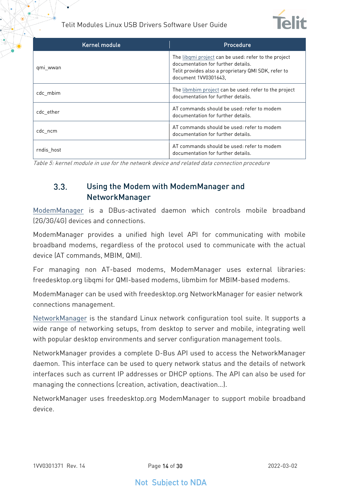

| Kernel module | Procedure                                                                                                                                                                 |
|---------------|---------------------------------------------------------------------------------------------------------------------------------------------------------------------------|
| qmi_wwan      | The libgmi project can be used: refer to the project<br>documentation for further details.<br>Telit provides also a proprietary QMI SDK, refer to<br>document 1VV0301643. |
| cdc mbim      | The libmbim project can be used: refer to the project<br>documentation for further details.                                                                               |
| cdc ether     | AT commands should be used: refer to modem<br>documentation for further details.                                                                                          |
| cdc ncm       | AT commands should be used: refer to modem<br>documentation for further details.                                                                                          |
| rndis host    | AT commands should be used: refer to modem<br>documentation for further details.                                                                                          |

<span id="page-13-0"></span>Table 5: kernel module in use for the network device and related data connection procedure

#### $3.3.$ Using the Modem with ModemManager and NetworkManager

[ModemManager](https://gitlab.freedesktop.org/mobile-broadband/ModemManager/-/blob/mm-1-14/NEWS) is a DBus-activated daemon which controls mobile broadband (2G/3G/4G) devices and connections.

ModemManager provides a unified high level API for communicating with mobile broadband modems, regardless of the protocol used to communicate with the actual device (AT commands, MBIM, QMI).

For managing non AT-based modems, ModemManager uses external libraries: freedesktop.org libqmi for QMI-based modems, libmbim for MBIM-based modems.

ModemManager can be used with freedesktop.org NetworkManager for easier network connections management.

[NetworkManager](https://gitlab.freedesktop.org/NetworkManager/NetworkManager) is the standard Linux network configuration tool suite. It supports a wide range of networking setups, from desktop to server and mobile, integrating well with popular desktop environments and server configuration management tools.

NetworkManager provides a complete D-Bus API used to access the NetworkManager daemon. This interface can be used to query network status and the details of network interfaces such as current IP addresses or DHCP options. The API can also be used for managing the connections (creation, activation, deactivation…).

NetworkManager uses freedesktop.org ModemManager to support mobile broadband device.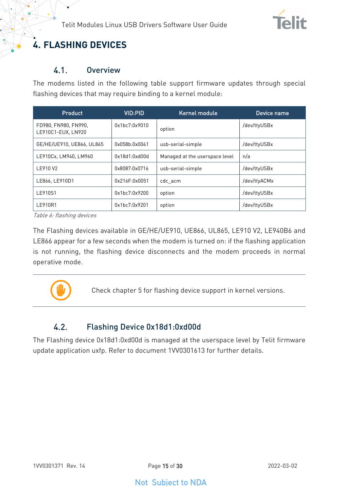

# <span id="page-14-1"></span><span id="page-14-0"></span>**4. FLASHING DEVICES**

#### $4.1.$ **Overview**

The modems listed in the following table support firmware updates through special flashing devices that may require binding to a kernel module:

| Product                                    | VID:PID       | Kernel module                  | Device name  |
|--------------------------------------------|---------------|--------------------------------|--------------|
| FD980, FN980, FN990,<br>LE910C1-EUX, LN920 | 0x1bc7:0x9010 | option                         | /dev/ttyUSBx |
| GE/HE/UE910, UE866, UL865                  | 0x058b:0x0041 | usb-serial-simple              | /dev/ttyUSBx |
| LE910Cx, LM940, LM960                      | 0x18d1:0xd00d | Managed at the userspace level | n/a          |
| LE910 V2                                   | 0x8087:0x0716 | usb-serial-simple              | /dev/ttyUSBx |
| LE866, LE910D1                             | 0x216F:0x0051 | cdc acm                        | /dev/ttyACMx |
| LE910S1                                    | 0x1bc7:0x9200 | option                         | /dev/ttyUSBx |
| LE910R1                                    | 0x1bc7:0x9201 | option                         | /dev/ttyUSBx |

Table 6: flashing devices

The Flashing devices available in GE/HE/UE910, UE866, UL865, LE910 V2, LE940B6 and LE866 appear for a few seconds when the modem is turned on: if the flashing application is not running, the flashing device disconnects and the modem proceeds in normal operative mode.



Check chapter 5 for flashing device support in kernel versions.

#### <span id="page-14-2"></span> $4.2.$ Flashing Device 0x18d1:0xd00d

The Flashing device 0x18d1:0xd00d is managed at the userspace level by Telit firmware update application uxfp. Refer to document 1VV0301613 for further details.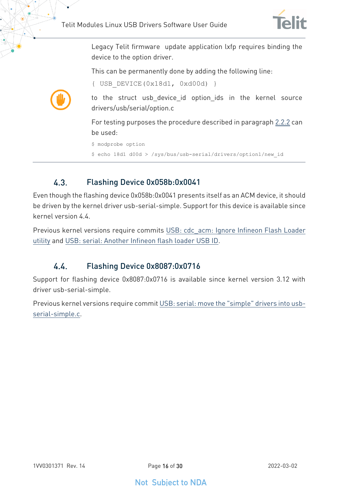{ USB\_DEVICE(0x18d1, 0xd00d) }



Legacy Telit firmware update application lxfp requires binding the device to the option driver.

This can be permanently done by adding the following line:



to the struct usb\_device\_id option\_ids in the kernel source drivers/usb/serial/option.c

For testing purposes the procedure described in paragraph [2.2.2](#page-9-0) can be used:

```
$ modprobe option
```
\$ echo 18d1 d00d > /sys/bus/usb-serial/drivers/option1/new\_id

#### <span id="page-15-0"></span> $4.3$ Flashing Device 0x058b:0x0041

Even though the flashing device 0x058b:0x0041 presents itself as an ACM device, it should be driven by the kernel driver usb-serial-simple. Support for this device is available since kernel version 4.4.

<span id="page-15-1"></span>Previous kernel versions require commits [USB: cdc\\_acm: Ignore Infineon Flash Loader](https://git.kernel.org/pub/scm/linux/kernel/git/torvalds/linux.git/commit/drivers/usb/class/cdc-acm.c?id=f33a7f72e5fc033daccbb8d4753d7c5c41a4d67b)  [utility](https://git.kernel.org/pub/scm/linux/kernel/git/torvalds/linux.git/commit/drivers/usb/class/cdc-acm.c?id=f33a7f72e5fc033daccbb8d4753d7c5c41a4d67b) and [USB: serial: Another Infineon flash loader USB ID.](https://git.kernel.org/pub/scm/linux/kernel/git/torvalds/linux.git/commit/drivers/usb/serial/usb-serial-simple.c?id=a0e80fbd56b4573de997c9a088a33abbc1121400)

#### 44 Flashing Device 0x8087:0x0716

Support for flashing device 0x8087:0x0716 is available since kernel version 3.12 with driver usb-serial-simple.

Previous kernel versions require commi[t USB: serial: move the "simple" drivers into usb](https://git.kernel.org/pub/scm/linux/kernel/git/torvalds/linux.git/commit/drivers/usb/serial/usb-serial-simple.c?id=1f9230713af17657f7ed503a12ddd739d0f48089)[serial-simple.c.](https://git.kernel.org/pub/scm/linux/kernel/git/torvalds/linux.git/commit/drivers/usb/serial/usb-serial-simple.c?id=1f9230713af17657f7ed503a12ddd739d0f48089)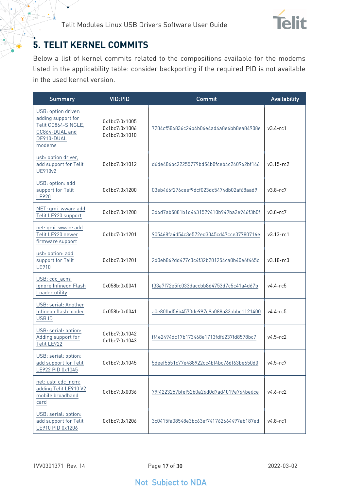

# <span id="page-16-0"></span>**5. TELIT KERNEL COMMITS**

Below a list of kernel commits related to the compositions available for the modems listed in the applicability table: consider backporting if the required PID is not available in the used kernel version.

| <b>Summary</b>                                                                                             | <b>VID:PID</b>                                  | Commit                                   | <b>Availability</b> |
|------------------------------------------------------------------------------------------------------------|-------------------------------------------------|------------------------------------------|---------------------|
| USB: option driver:<br>adding support for<br>Telit CC864-SINGLE,<br>CC864-DUAL and<br>DE910-DUAL<br>modems | 0x1bc7:0x1005<br>0x1bc7:0x1006<br>0x1bc7:0x1010 | 7204cf584836c24b4b06e4ad4a8e6bb8ea84908e | $v3.4 - rc1$        |
| usb: option driver,<br>add support for Telit<br>UE910v2                                                    | 0x1bc7:0x1012                                   | d6de486bc22255779bd54b0fceb4c240962bf146 | $v3.15 - rc2$       |
| USB: option: add<br>support for Telit<br>LE920                                                             | 0x1bc7:0x1200                                   | 03eb466f276ceef9dcf023dc5474db02af68aad9 | $v3.8 - rc7$        |
| NET: qmi_wwan: add<br>Telit LE920 support                                                                  | 0x1bc7:0x1200                                   | 3d6d7ab5881b1d4431529410b949ba2e946f3b0f | $v3.8 - rc7$        |
| net: qmi_wwan: add<br>Telit LE920 newer<br>firmware support                                                | 0x1bc7:0x1201                                   | 905468fa4d54c3e572ed3045cd47cce37780716e | $v3.13 - rc1$       |
| usb: option: add<br>support for Telit<br>LE910                                                             | 0x1bc7:0x1201                                   | 2d0eb862dd477c3c4f32b201254ca0b40e6f465c | $v3.18 - rc3$       |
| USB: cdc_acm:<br>Ignore Infineon Flash<br>Loader utility                                                   | 0x058b:0x0041                                   | f33a7f72e5fc033daccbb8d4753d7c5c41a4d67b | $v4.4 - r65$        |
| USB: serial: Another<br>Infineon flash loader<br>USB ID                                                    | 0x058b:0x0041                                   | a0e80fbd56b4573de997c9a088a33abbc1121400 | $v4.4 - rc5$        |
| USB: serial: option:<br>Adding support for<br>Telit LE922                                                  | 0x1bc7:0x1042<br>0x1bc7:0x1043                  | ff4e2494dc17b173468e1713fdf6237fd8578bc7 | $v4.5-rc2$          |
| USB: serial: option:<br>add support for Telit<br>LE922 PID 0x1045                                          | 0x1bc7:0x1045                                   | 5deef5551c77e488922cc4bf4bc76df63be650d0 | $v4.5 - rc7$        |
| net: usb: cdc_ncm:<br>adding Telit LE910 V2<br>mobile broadband<br>card                                    | 0x1bc7:0x0036                                   | 79f4223257bfef52b0a26d0d7ad4019e764be6ce | $v4.6 - rc2$        |
| USB: serial: option:<br>add support for Telit<br>LE910 PID 0x1206                                          | 0x1bc7:0x1206                                   | 3c0415fa08548e3bc63ef741762664497ab187ed | $v4.8 - rc1$        |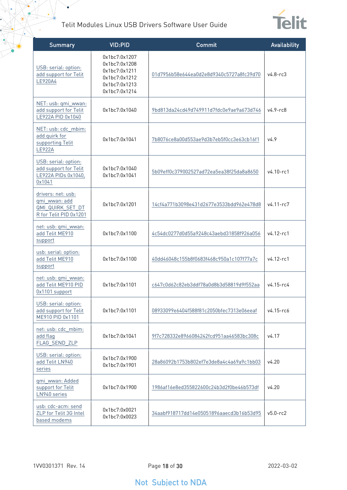$\bullet$ 



| <b>Summary</b>                                                                    | <b>VID:PID</b>                                                                                     | Commit                                   | Availability  |
|-----------------------------------------------------------------------------------|----------------------------------------------------------------------------------------------------|------------------------------------------|---------------|
| USB: serial: option:<br>add support for Telit<br>LE920A4                          | 0x1bc7:0x1207<br>0x1bc7:0x1208<br>0x1bc7:0x1211<br>0x1bc7:0x1212<br>0x1bc7:0x1213<br>0x1bc7:0x1214 | 01d7956b58e644ea0d2e8d9340c5727a8fc39d70 | $v4.8 - rc3$  |
| NET: usb: qmi_wwan:<br>add support for Telit<br>LE922A PID 0x1040                 | 0x1bc7:0x1040                                                                                      | 9bd813da24cd49d749911d7fdc0e9ae9a673d746 | $v4.9 - rc8$  |
| NET: usb: cdc_mbim:<br>add quirk for<br>supporting Telit<br><b>LE922A</b>         | 0x1bc7:0x1041                                                                                      | 7b8076ce8a00d553ae9d3b7eb5f0cc3e63cb16f1 | V4.9          |
| USB: serial: option:<br>add support for Telit<br>LE922A PIDs 0x1040,<br>0x1041    | 0x1bc7:0x1040<br>0x1bc7:0x1041                                                                     | 5b09eff0c379002527ad72ea5ea38f25da8a8650 | $v4.10 - rc1$ |
| drivers: net: usb:<br>qmi_wwan: add<br>QMI QUIRK SET DT<br>R for Telit PID 0x1201 | 0x1bc7:0x1201                                                                                      | 14cf4a771b3098e431d2677e3533bdd962e478d8 | v4.11-rc7     |
| net: usb: qmi_wwan:<br>add Telit ME910<br>support                                 | 0x1bc7:0x1100                                                                                      | 4c54dc0277d0d55a9248c43aebd31858f926a056 | $v4.12$ -rc1  |
| usb: serial: option:<br>add Telit ME910<br>support                                | 0x1bc7:0x1100                                                                                      | 40dd46048c155b8f0683f468c950a1c107f77a7c | $v4.12 - rc1$ |
| net: usb: qmi_wwan:<br>add Telit ME910 PID<br>0x1101 support                      | 0x1bc7:0x1101                                                                                      | c647c0d62c82eb3ddf78a0d8b3d58819d9f552aa | v4.15-rc4     |
| USB: serial: option:<br>add support for Telit<br>ME910 PID 0x1101                 | 0x1bc7:0x1101                                                                                      | 08933099e6404f588f81c2050bfec7313e06eeaf | v4.15-rc6     |
| net: usb: cdc_mbim:<br>add flag<br>FLAG_SEND_ZLP                                  | 0x1bc7:0x1041                                                                                      | 9f7c728332e8966084242fcd951aa46583bc308c | v4.17         |
| USB: serial: option:<br>add Telit LN940<br>series                                 | 0x1bc7:0x1900<br>0x1bc7:0x1901                                                                     | 28a86092b1753b802ef7e3de8a4c4a69a9c1bb03 | v4.20         |
| qmi_wwan: Added<br>support for Telit<br>LN940 series                              | 0x1bc7:0x1900                                                                                      | 1986af16e8ed355822600c24b3d2f0be46b573df | v4.20         |
| usb: cdc-acm: send<br>ZLP for Telit 3G Intel<br>based modems                      | 0x1bc7:0x0021<br>0x1bc7:0x0023                                                                     | 34aabf918717dd14e05051896aaecd3b16b53d95 | $v5.0 - rc2$  |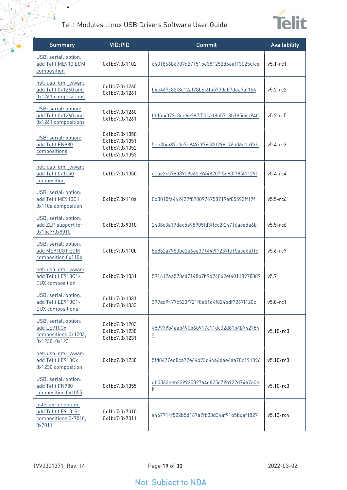$\bullet$ 



| <b>Summary</b>                                                                | <b>VID:PID</b>                                                   | Commit                                                     | Availability  |
|-------------------------------------------------------------------------------|------------------------------------------------------------------|------------------------------------------------------------|---------------|
| USB: serial: option:<br>add Telit ME910 ECM<br>composition                    | 0x1bc7:0x1102                                                    | 6431866b6707d27151be381252d6eef13025cfce                   | $v5.1 - rc1$  |
| net: usb: qmi_wwan:<br>add Telit 0x1260 and<br>0x1261 compositions            | 0x1bc7:0x1260<br>0x1bc7:0x1261                                   | b4e467c82f8c12af78b6f6fa5730cb7dea7af1b4                   | $v5.2 - rc2$  |
| USB: serial: option:<br>add Telit 0x1260 and<br>0x1261 compositions           | 0x1bc7:0x1260<br>0x1bc7:0x1261                                   | f3dfd4072c3ee6e287f501a18b5718b185d6a940                   | $v5.2 - r c5$ |
| USB: serial: option:<br>add Telit FN980<br>compositions                       | 0x1bc7:0x1050<br>0x1bc7:0x1051<br>0x1bc7:0x1052<br>0x1bc7:0x1053 | 5eb3f4b87a0e7e949c976f32f296176a06d1a93b                   | $v5.4 - rc3$  |
| net: usb: qmi_wwan:<br>add Telit 0x1050<br>composition                        | 0x1bc7:0x1050                                                    | e0ae2c578d3909e60e9448207f5d83f785f1129f                   | $v5.4 - rc4$  |
| USB: serial: option:<br>add Telit ME910G1<br>0x110a composition               | 0x1bc7:0x110a                                                    | 0d3010fa442429f8780976758719af05592ff19f                   | $v5.5-rc6$    |
| USB: serial: option:<br>add ZLP support for<br>0x1bc7/0x9010                  | 0x1bc7:0x9010                                                    | 2438c3a19dec5e98905fd3ffcc2f24716aceda6b                   | $v5.5-rc6$    |
| USB: serial: option:<br>add ME910G1 ECM<br>composition 0x110b                 | 0x1bc7:0x110b                                                    | 8e852a7953be2a6ee371449f7257fe15ace6a1fc                   | $v5.6 - rc7$  |
| net: usb: qmi_wwan:<br>add Telit LE910C1-<br><b>EUX</b> composition           | 0x1bc7:0x1031                                                    | 591612aa578cd7148b7b9d74869ef40118978389                   | v5.7          |
| USB: serial: option:<br>add Telit LE910C1-<br><b>EUX</b> compositions         | 0x1bc7:0x1031<br>0x1bc7:0x1033                                   | 399ad9477c523f721f8e51d4f824bdf7267f120c                   | $v5.8-rc1$    |
| USB: serial: option:<br>add LE910Cx<br>compositions 0x1203,<br>0x1230, 0x1231 | 0x1bc7:0x1203<br>0x1bc7:0x1230<br>0x1bc7:0x1231                  | 489979b4aab490b6b917c11dc02d81b4b742784<br>$\underline{a}$ | $v5.10 - rc3$ |
| net: usb: qmi_wwan:<br>add Telit LE910Cx<br>0x1230 composition                | 0x1bc7:0x1230                                                    | 5fd8477ed8ca77e64b93d44a6dae4aa70c191396                   | $v5.10 - rc3$ |
| USB: serial: option:<br>add Telit FN980<br>composition 0x1055                 | 0x1bc7:0x1055                                                    | db0362eeb22992502764e825c79b922d7467e0e<br>$\underline{b}$ | $v5.10 - rc3$ |
| usb: serial: option:<br>add Telit LE910-S1<br>compositions 0x7010,<br>0x7011  | 0x1bc7:0x7010<br>0x1bc7:0x7011                                   | e467714f822b5d167a7fb03d34af91b5b6af1827                   | $v5.13 - rc4$ |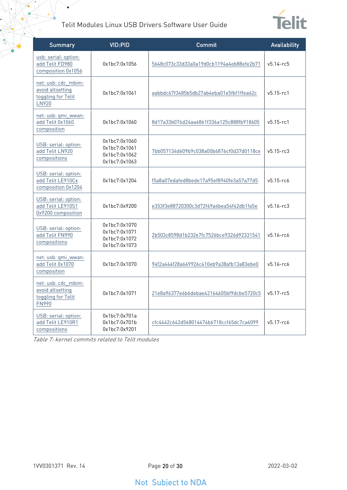¥



| <b>Summary</b>                                                                | <b>VID:PID</b>                                                   | Commit                                   | Availability   |
|-------------------------------------------------------------------------------|------------------------------------------------------------------|------------------------------------------|----------------|
| usb: serial: option:<br>add Telit FD980<br>composition 0x1056                 | 0x1bc7:0x1056                                                    | 5648c073c33d33a0a19d0cb1194a4eb88efe2b71 | $v5.14 - r c5$ |
| net: usb: cdc_mbim:<br>avoid altsetting<br>toggling for Telit<br>LN920        | 0x1bc7:0x1061                                                    | aabbdc67f3485b5db27ab4eba01e5fbf1ffea62c | $v5.15 - rc1$  |
| net: usb: qmi_wwan:<br>add Telit 0x1060<br>composition                        | 0x1bc7:0x1060                                                    | 8d17a33b076d24aa4861f336a125c888fb918605 | $v5.15 - rc1$  |
| USB: serial: option:<br>add Telit LN920<br>compositions                       | 0x1bc7:0x1060<br>0x1bc7:0x1061<br>0x1bc7:0x1062<br>0x1bc7:0x1063 | 7bb057134d609b9c038a00b6876cf0d37d0118ce | $v5.15 - rc3$  |
| USB: serial: option:<br>add Telit LE910Cx<br>composition 0x1204               | 0x1bc7:0x1204                                                    | f5a8a07edafed8bede17a95ef8940fe3a57a77d5 | $v5.15 - rc6$  |
| USB: serial: option:<br>add Telit LE910S1<br>0x9200 composition               | 0x1bc7:0x9200                                                    | e353f3e88720300c3d72f49a4bea54f42db1fa5e | $v5.16 - rc3$  |
| USB: serial: option:<br>add Telit FN990<br>compositions                       | 0x1bc7:0x1070<br>0x1bc7:0x1071<br>0x1bc7:0x1072<br>0x1bc7:0x1073 | 2b503c8598d1b232e7fc7526bce9326d92331541 | $v5.16 - r6$   |
| net: usb: qmi_wwan:<br>add Telit 0x1070<br>composition                        | 0x1bc7:0x1070                                                    | 94f2a444f28a649926c410eb9a38afb13a83ebe0 | $v5.16 - rc6$  |
| net: usb: cdc_mbim:<br>avoid altsetting<br>toggling for Telit<br><b>FN990</b> | 0x1bc7:0x1071                                                    | 21e8a96377e6b6debae42164605bf9dcbe5720c5 | $v5.17 - c5$   |
| USB: serial: option:<br>add Telit LE910R1<br>compositions                     | 0x1bc7:0x701a<br>0x1bc7:0x701b<br>0x1bc7:0x9201                  | cfc4442c642d568014474b6718ccf65dc7ca6099 | $v5.17 - rc6$  |

Table 7: kernel commits related to Telit modules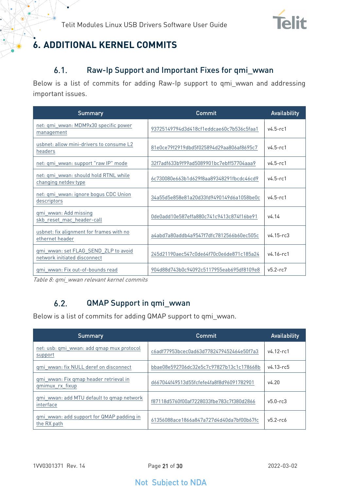

# <span id="page-20-1"></span><span id="page-20-0"></span>**6. ADDITIONAL KERNEL COMMITS**

#### Raw-Ip Support and Important Fixes for qmi\_wwan  $6.1.$

Below is a list of commits for adding Raw-Ip support to qmi\_wwan and addressing important issues.

| <b>Summary</b>                                                       | Commit                                   | <b>Availability</b> |
|----------------------------------------------------------------------|------------------------------------------|---------------------|
| net: qmi_wwan: MDM9x30 specific power<br>management                  | 93725149794d3d418cf1eddcae60c7b536c5faa1 | $v4.5-rc1$          |
| usbnet: allow mini-drivers to consume L2<br>headers                  | 81e0ce79f2919dbd5f025894d29aa806af8695c7 | $v4.5 - r c1$       |
| net: qmi_wwan: support "raw IP" mode                                 | 32f7adf633b9f99ad5089901bc7ebff57704aaa9 | $v4.5 - r c1$       |
| net: qmi_wwan: should hold RTNL while<br>changing netdev type        | 6c730080e663b1d629f8aa89348291fbcdc46cd9 | $v4.5 - rc1$        |
| net: qmi_wwan: ignore bogus CDC Union<br>descriptors                 | 34a55d5e858e81a20d33fd9490149d6a1058be0c | $v4.5 - rc1$        |
| qmi_wwan: Add missing<br>skb reset mac header-call                   | 0de0add10e587effa880c741c9413c874f16be91 | v4.14               |
| usbnet: fix alignment for frames with no<br>ethernet header          | a4abd7a80addb4a9547f7dfc7812566b60ec505c | $v4.15 - rc3$       |
| ami wwan: set FLAG SEND ZLP to avoid<br>network initiated disconnect | 245d21190aec547c0de64f70c0e6de871c185a24 | $v4.16 - r c1$      |
| qmi wwan: Fix out-of-bounds read                                     | 904d88d743b0c94092c5117955eab695df8109e8 | $v5.2 - rc7$        |

<span id="page-20-2"></span>Table 8: qmi\_wwan relevant kernel commits

#### $6.2.$ QMAP Support in qmi\_wwan

Below is a list of commits for adding QMAP support to qmi\_wwan.

| Summary                                                   | Commit                                   | <b>Availability</b> |
|-----------------------------------------------------------|------------------------------------------|---------------------|
| net: usb: qmi wwan: add qmap mux protocol<br>support      | c6adf77953bcec0ad63d7782479452464e50f7a3 | $v4.12 - r c1$      |
| qmi_wwan: fix NULL deref on disconnect                    | bbae08e592706dc32e5c7c97827b13c1c178668b | $v4.13 - r65$       |
| gmi wwan: Fix gmap header retrieval in<br>gmimux rx fixup | d667044f49513d55fcfefe4fa8f8d96091782901 | v4.20               |
| gmi wwan: add MTU default to gmap network<br>interface    | f87118d5760f00af7228033fbe783c7f380d2866 | $v5.0 - rc3$        |
| gmi wwan: add support for QMAP padding in<br>the RX path  | 61356088ace1866a847a727d4d40da7bf00b67fc | $v5.2 - r66$        |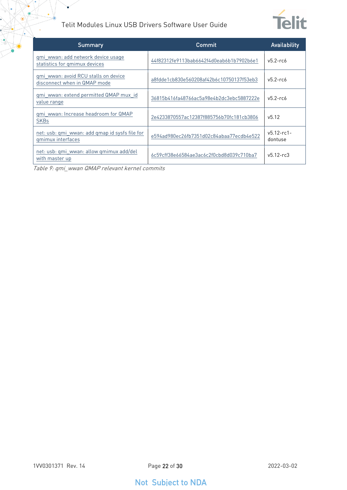

| <b>Summary</b>                                                       | Commit                                   | Availability               |
|----------------------------------------------------------------------|------------------------------------------|----------------------------|
| qmi wwan: add network device usage<br>statistics for gmimux devices  | 44f82312fe9113bab6642f4d0eab6b1b7902b6e1 | $v5.2$ -rc $6$             |
| qmi wwan: avoid RCU stalls on device<br>disconnect when in QMAP mode | a8fdde1cb830e560208af42b6c10750137f53eb3 | $v5.2$ -rc $6$             |
| qmi wwan: extend permitted QMAP mux id<br>value range                | 36815b416fa48766ac5a98e4b2dc3ebc5887222e | $v5.2 - rcb$               |
| gmi wwan: Increase headroom for QMAP<br><b>SKBs</b>                  | 2e4233870557ac12387f885756b70fc181cb3806 | v5.12                      |
| net: usb: qmi wwan: add qmap id sysfs file for<br>gmimux interfaces  | e594ad980ec26fb7351d02c84abaa77ecdb4e522 | $v5.12 - rc1 -$<br>dontuse |
| net: usb: qmi wwan: allow qmimux add/del<br>with master up           | 6c59cff38e66584ae3ac6c2f0cbd8d039c710ba7 | $v5.12 - rc3$              |

Table 9: qmi\_wwan QMAP relevant kernel commits

 $\bullet$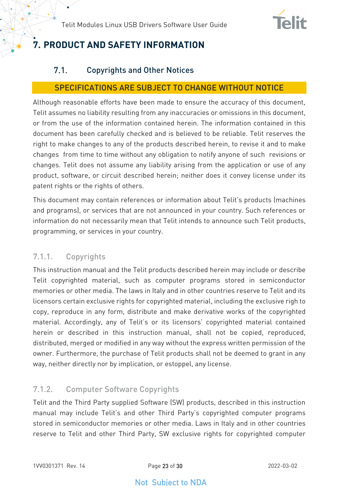

# <span id="page-22-1"></span><span id="page-22-0"></span>**7. PRODUCT AND SAFETY INFORMATION**

#### $7.1.$ Copyrights and Other Notices

#### SPECIFICATIONS ARE SUBJECT TO CHANGE WITHOUT NOTICE

Although reasonable efforts have been made to ensure the accuracy of this document, Telit assumes no liability resulting from any inaccuracies or omissions in this document, or from the use of the information contained herein. The information contained in this document has been carefully checked and is believed to be reliable. Telit reserves the right to make changes to any of the products described herein, to revise it and to make changes from time to time without any obligation to notify anyone of such revisions or changes. Telit does not assume any liability arising from the application or use of any product, software, or circuit described herein; neither does it convey license under its patent rights or the rights of others.

This document may contain references or information about Telit's products (machines and programs), or services that are not announced in your country. Such references or information do not necessarily mean that Telit intends to announce such Telit products, programming, or services in your country.

### <span id="page-22-2"></span>7.1.1. Copyrights

This instruction manual and the Telit products described herein may include or describe Telit copyrighted material, such as computer programs stored in semiconductor memories or other media. The laws in Italy and in other countries reserve to Telit and its licensors certain exclusive rights for copyrighted material, including the exclusive righ to copy, reproduce in any form, distribute and make derivative works of the copyrighted material. Accordingly, any of Telit's or its licensors' copyrighted material contained herein or described in this instruction manual, shall not be copied, reproduced, distributed, merged or modified in any way without the express written permission of the owner. Furthermore, the purchase of Telit products shall not be deemed to grant in any way, neither directly nor by implication, or estoppel, any license.

### <span id="page-22-3"></span>7.1.2. Computer Software Copyrights

Telit and the Third Party supplied Software (SW) products, described in this instruction manual may include Telit's and other Third Party's copyrighted computer programs stored in semiconductor memories or other media. Laws in Italy and in other countries reserve to Telit and other Third Party, SW exclusive rights for copyrighted computer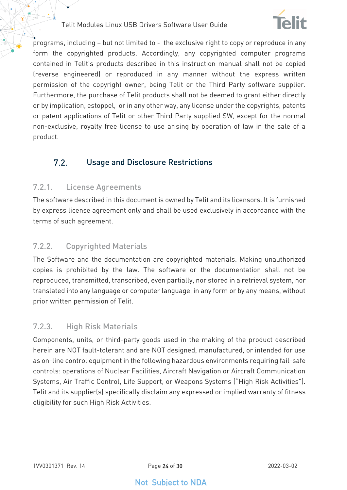

programs, including – but not limited to - the exclusive right to copy or reproduce in any form the copyrighted products. Accordingly, any copyrighted computer programs contained in Telit's products described in this instruction manual shall not be copied (reverse engineered) or reproduced in any manner without the express written permission of the copyright owner, being Telit or the Third Party software supplier. Furthermore, the purchase of Telit products shall not be deemed to grant either directly or by implication, estoppel, or in any other way, any license under the copyrights, patents or patent applications of Telit or other Third Party supplied SW, except for the normal non-exclusive, royalty free license to use arising by operation of law in the sale of a product.

#### <span id="page-23-0"></span> $7.2.$ Usage and Disclosure Restrictions

#### <span id="page-23-1"></span>7.2.1. License Agreements

The software described in this document is owned by Telit and its licensors. It is furnished by express license agreement only and shall be used exclusively in accordance with the terms of such agreement.

### <span id="page-23-2"></span>7.2.2. Copyrighted Materials

The Software and the documentation are copyrighted materials. Making unauthorized copies is prohibited by the law. The software or the documentation shall not be reproduced, transmitted, transcribed, even partially, nor stored in a retrieval system, nor translated into any language or computer language, in any form or by any means, without prior written permission of Telit.

### <span id="page-23-3"></span>7.2.3. High Risk Materials

Components, units, or third-party goods used in the making of the product described herein are NOT fault-tolerant and are NOT designed, manufactured, or intended for use as on-line control equipment in the following hazardous environments requiring fail-safe controls: operations of Nuclear Facilities, Aircraft Navigation or Aircraft Communication Systems, Air Traffic Control, Life Support, or Weapons Systems ("High Risk Activities"). Telit and its supplier(s) specifically disclaim any expressed or implied warranty of fitness eligibility for such High Risk Activities.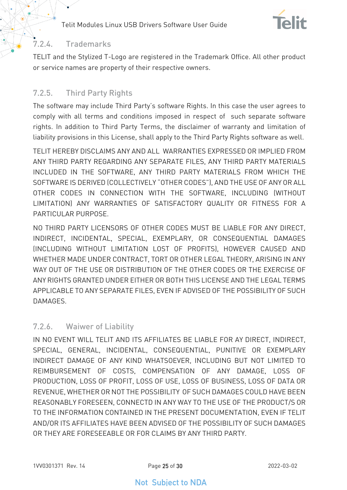

### <span id="page-24-0"></span>7.2.4. Trademarks

TELIT and the Stylized T-Logo are registered in the Trademark Office. All other product or service names are property of their respective owners.

### <span id="page-24-1"></span>7.2.5. Third Party Rights

The software may include Third Party's software Rights. In this case the user agrees to comply with all terms and conditions imposed in respect of such separate software rights. In addition to Third Party Terms, the disclaimer of warranty and limitation of liability provisions in this License, shall apply to the Third Party Rights software as well.

TELIT HEREBY DISCLAIMS ANY AND ALL WARRANTIES EXPRESSED OR IMPLIED FROM ANY THIRD PARTY REGARDING ANY SEPARATE FILES, ANY THIRD PARTY MATERIALS INCLUDED IN THE SOFTWARE, ANY THIRD PARTY MATERIALS FROM WHICH THE SOFTWARE IS DERIVED (COLLECTIVELY "OTHER CODES"), AND THE USE OF ANY OR ALL OTHER CODES IN CONNECTION WITH THE SOFTWARE, INCLUDING (WITHOUT LIMITATION) ANY WARRANTIES OF SATISFACTORY QUALITY OR FITNESS FOR A PARTICULAR PURPOSE.

NO THIRD PARTY LICENSORS OF OTHER CODES MUST BE LIABLE FOR ANY DIRECT, INDIRECT, INCIDENTAL, SPECIAL, EXEMPLARY, OR CONSEQUENTIAL DAMAGES (INCLUDING WITHOUT LIMITATION LOST OF PROFITS), HOWEVER CAUSED AND WHETHER MADE UNDER CONTRACT, TORT OR OTHER LEGAL THEORY, ARISING IN ANY WAY OUT OF THE USE OR DISTRIBUTION OF THE OTHER CODES OR THE EXERCISE OF ANY RIGHTS GRANTED UNDER EITHER OR BOTH THIS LICENSE AND THE LEGAL TERMS APPLICABLE TO ANY SEPARATE FILES, EVEN IF ADVISED OF THE POSSIBILITY OF SUCH DAMAGES.

#### <span id="page-24-2"></span>7.2.6. Waiwer of Liability

IN NO EVENT WILL TELIT AND ITS AFFILIATES BE LIABLE FOR AY DIRECT, INDIRECT, SPECIAL, GENERAL, INCIDENTAL, CONSEQUENTIAL, PUNITIVE OR EXEMPLARY INDIRECT DAMAGE OF ANY KIND WHATSOEVER, INCLUDING BUT NOT LIMITED TO REIMBURSEMENT OF COSTS, COMPENSATION OF ANY DAMAGE, LOSS OF PRODUCTION, LOSS OF PROFIT, LOSS OF USE, LOSS OF BUSINESS, LOSS OF DATA OR REVENUE, WHETHER OR NOT THE POSSIBILITY OF SUCH DAMAGES COULD HAVE BEEN REASONABLY FORESEEN, CONNECTD IN ANY WAY TO THE USE OF THE PRODUCT/S OR TO THE INFORMATION CONTAINED IN THE PRESENT DOCUMENTATION, EVEN IF TELIT AND/OR ITS AFFILIATES HAVE BEEN ADVISED OF THE POSSIBILITY OF SUCH DAMAGES OR THEY ARE FORESEEABLE OR FOR CLAIMS BY ANY THIRD PARTY.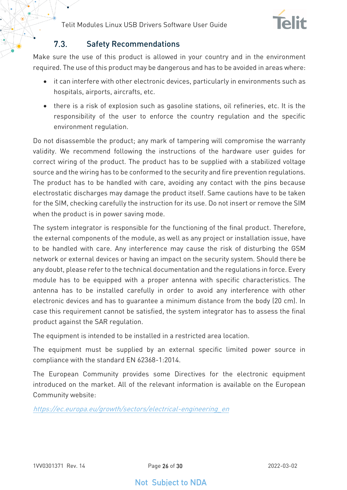

#### $7.3$ Safety Recommendations

<span id="page-25-0"></span>Make sure the use of this product is allowed in your country and in the environment required. The use of this product may be dangerous and has to be avoided in areas where:

- it can interfere with other electronic devices, particularly in environments such as hospitals, airports, aircrafts, etc.
- there is a risk of explosion such as gasoline stations, oil refineries, etc. It is the responsibility of the user to enforce the country regulation and the specific environment regulation.

Do not disassemble the product; any mark of tampering will compromise the warranty validity. We recommend following the instructions of the hardware user guides for correct wiring of the product. The product has to be supplied with a stabilized voltage source and the wiring has to be conformed to the security and fire prevention regulations. The product has to be handled with care, avoiding any contact with the pins because electrostatic discharges may damage the product itself. Same cautions have to be taken for the SIM, checking carefully the instruction for its use. Do not insert or remove the SIM when the product is in power saving mode.

The system integrator is responsible for the functioning of the final product. Therefore, the external components of the module, as well as any project or installation issue, have to be handled with care. Any interference may cause the risk of disturbing the GSM network or external devices or having an impact on the security system. Should there be any doubt, please refer to the technical documentation and the regulations in force. Every module has to be equipped with a proper antenna with specific characteristics. The antenna has to be installed carefully in order to avoid any interference with other electronic devices and has to guarantee a minimum distance from the body (20 cm). In case this requirement cannot be satisfied, the system integrator has to assess the final product against the SAR regulation.

The equipment is intended to be installed in a restricted area location.

The equipment must be supplied by an external specific limited power source in compliance with the standard EN 62368-1:2014.

The European Community provides some Directives for the electronic equipment introduced on the market. All of the relevant information is available on the European Community website:

[https://ec.europa.eu/growth/sectors/electrical-engineering\\_en](https://ec.europa.eu/growth/sectors/electrical-engineering_en)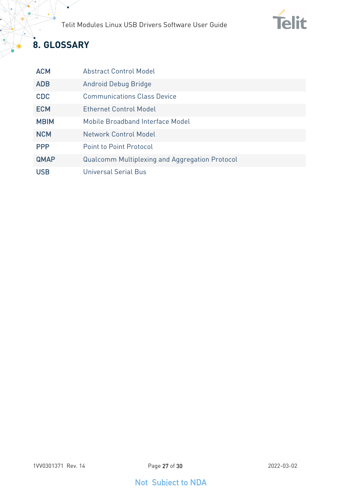

# <span id="page-26-0"></span>**8. GLOSSARY**

 $\widehat{\bullet}$ 

 $\bullet$ 

| <b>ACM</b>  | <b>Abstract Control Model</b>                         |
|-------------|-------------------------------------------------------|
| <b>ADB</b>  | Android Debug Bridge                                  |
| <b>CDC</b>  | <b>Communications Class Device</b>                    |
| <b>ECM</b>  | <b>Ethernet Control Model</b>                         |
| <b>MBIM</b> | Mobile Broadband Interface Model                      |
| <b>NCM</b>  | Network Control Model                                 |
| <b>PPP</b>  | <b>Point to Point Protocol</b>                        |
| <b>QMAP</b> | <b>Qualcomm Multiplexing and Aggregation Protocol</b> |
| <b>USB</b>  | Universal Serial Bus                                  |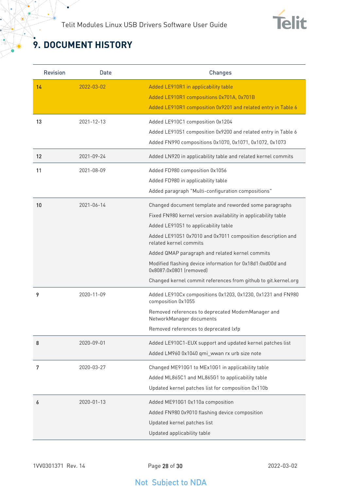

# <span id="page-27-0"></span>**9. DOCUMENT HISTORY**

¥

| <b>Revision</b> | <b>Date</b> | <b>Changes</b>                                                                                                                                                                                                                                                                                                                                                                                                                                                          |
|-----------------|-------------|-------------------------------------------------------------------------------------------------------------------------------------------------------------------------------------------------------------------------------------------------------------------------------------------------------------------------------------------------------------------------------------------------------------------------------------------------------------------------|
| 14              | 2022-03-02  | Added LE910R1 in applicability table<br>Added LE910R1 compositions 0x701A, 0x701B<br>Added LE910R1 composition 0x9201 and related entry in Table 6                                                                                                                                                                                                                                                                                                                      |
| 13              | 2021-12-13  | Added LE910C1 composition 0x1204<br>Added LE910S1 composition 0x9200 and related entry in Table 6<br>Added FN990 compositions 0x1070, 0x1071, 0x1072, 0x1073                                                                                                                                                                                                                                                                                                            |
| 12              | 2021-09-24  | Added LN920 in applicability table and related kernel commits                                                                                                                                                                                                                                                                                                                                                                                                           |
| 11              | 2021-08-09  | Added FD980 composition 0x1056<br>Added FD980 in applicability table<br>Added paragraph "Multi-configuration compositions"                                                                                                                                                                                                                                                                                                                                              |
| 10              | 2021-06-14  | Changed document template and reworded some paragraphs<br>Fixed FN980 kernel version availability in applicability table<br>Added LE910S1 to applicability table<br>Added LE910S1 0x7010 and 0x7011 composition description and<br>related kernel commits<br>Added QMAP paragraph and related kernel commits<br>Modified flashing device information for 0x18d1:0xd00d and<br>0x8087:0x0801 (removed)<br>Changed kernel commit references from github to git.kernel.org |
| 9               | 2020-11-09  | Added LE910Cx compositions 0x1203, 0x1230, 0x1231 and FN980<br>composition 0x1055<br>Removed references to deprecated ModemManager and<br>NetworkManager documents<br>Removed references to deprecated lxfp                                                                                                                                                                                                                                                             |
| 8               | 2020-09-01  | Added LE910C1-EUX support and updated kernel patches list<br>Added LM960 0x1040 qmi_wwan rx urb size note                                                                                                                                                                                                                                                                                                                                                               |
| 7               | 2020-03-27  | Changed ME910G1 to MEx10G1 in applicability table<br>Added ML865C1 and ML865G1 to applicability table<br>Updated kernel patches list for composition 0x110b                                                                                                                                                                                                                                                                                                             |
| 6               | 2020-01-13  | Added ME910G1 0x110a composition<br>Added FN980 0x9010 flashing device composition<br>Updated kernel patches list<br>Updated applicability table                                                                                                                                                                                                                                                                                                                        |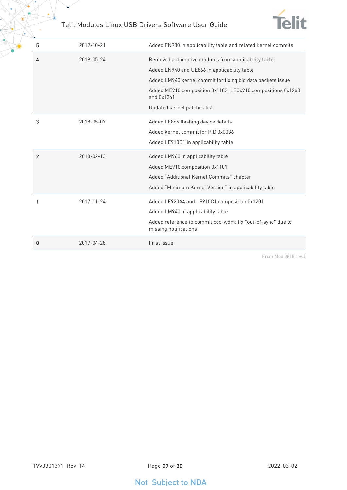$\bullet$ 



| 5              | 2019-10-21 | Added FN980 in applicability table and related kernel commits                                       |
|----------------|------------|-----------------------------------------------------------------------------------------------------|
| 4              | 2019-05-24 | Removed automotive modules from applicability table<br>Added LN940 and UE866 in applicability table |
|                |            | Added LM940 kernel commit for fixing big data packets issue                                         |
|                |            | Added ME910 composition 0x1102, LECx910 compositions 0x1260<br>and 0x1261                           |
|                |            | Updated kernel patches list                                                                         |
| 3              | 2018-05-07 | Added LE866 flashing device details                                                                 |
|                |            | Added kernel commit for PID 0x0036                                                                  |
|                |            | Added LE910D1 in applicability table                                                                |
| $\overline{2}$ | 2018-02-13 | Added LM960 in applicability table                                                                  |
|                |            | Added ME910 composition 0x1101                                                                      |
|                |            | Added "Additional Kernel Commits" chapter                                                           |
|                |            | Added "Minimum Kernel Version" in applicability table                                               |
|                | 2017-11-24 | Added LE920A4 and LE910C1 composition 0x1201                                                        |
|                |            | Added LM940 in applicability table                                                                  |
|                |            | Added reference to commit cdc-wdm: fix "out-of-sync" due to<br>missing notifications                |
| 0              | 2017-04-28 | First issue                                                                                         |

From Mod.0818 rev.4